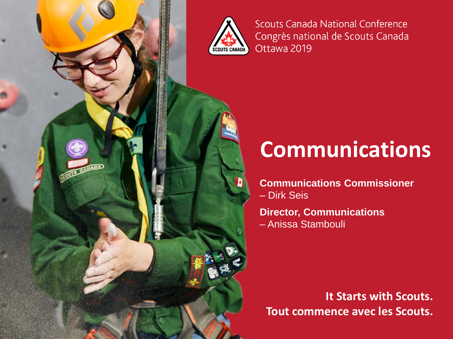

**Scouts Canada National Conference** Congrès national de Scouts Canada Ottawa 2019

## **Communications**

**Communications Commissioner**  – Dirk Seis

**Director, Communications**  – Anissa Stambouli

**Tout commence avec les Scouts. It Starts with Scouts.**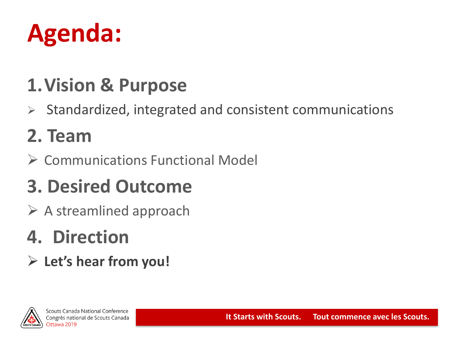# **Agenda:**

### **1.Vision & Purpose**

➢ Standardized, integrated and consistent communications

### **2. Team**

➢ Communications Functional Model

## **3. Desired Outcome**

 $\triangleright$  A streamlined approach

### **4. Direction**

➢ **Let's hear from you!**

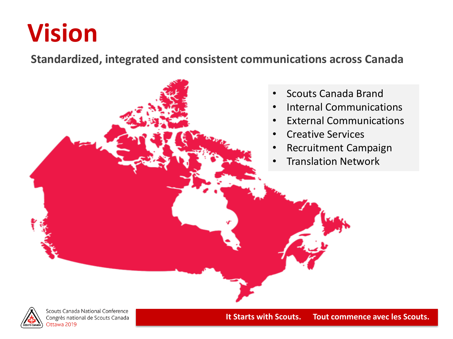## **Vision**

**Standardized, integrated and consistent communications across Canada**





Scouts Canada National Conference Congrès national de Scouts Canada Ottawa 2019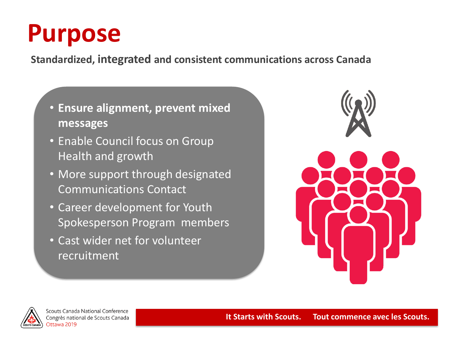# **Purpose**

**Standardized, integrated and consistent communications across Canada**

- **Ensure alignment, prevent mixed messages**
- Enable Council focus on Group Health and growth
- More support through designated Communications Contact
- Career development for Youth Spokesperson Program members
- Cast wider net for volunteer recruitment





Scouts Canada National Conference Congrès national de Scouts Canada Ottawa 2019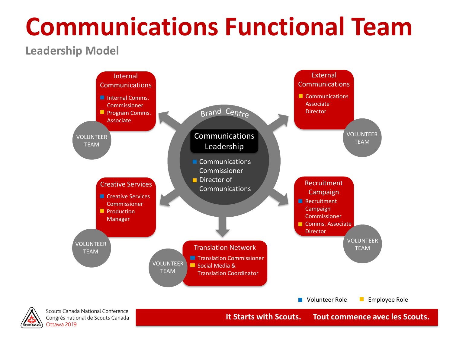### **Leadership Model**



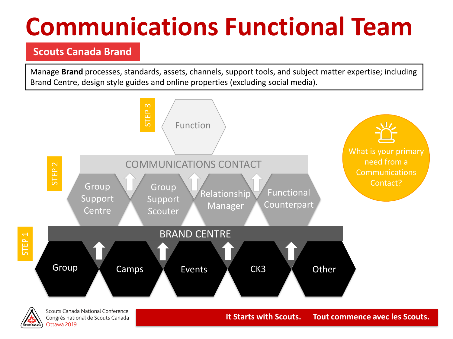### **Scouts Canada Brand**

Congrès national de Scouts Canada

Ottawa 2019

Manage **Brand** processes, standards, assets, channels, support tools, and subject matter expertise; including Brand Centre, design style guides and online properties (excluding social media).

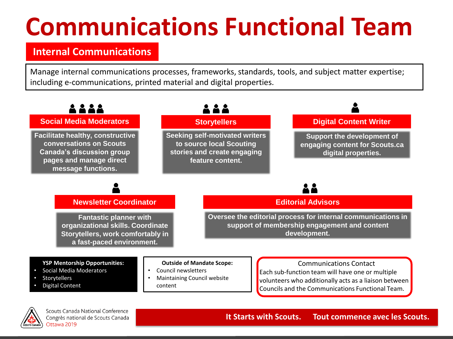### **Internal Communications**

Manage internal communications processes, frameworks, standards, tools, and subject matter expertise; including e-communications, printed material and digital properties.



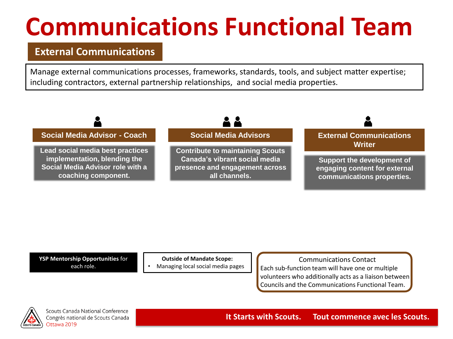### **External Communications**

Manage external communications processes, frameworks, standards, tools, and subject matter expertise; including contractors, external partnership relationships, and social media properties.



**YSP Mentorship Opportunities** for each role.

**Outside of Mandate Scope:**

• Managing local social media pages

Communications Contact Each sub-function team will have one or multiple volunteers who additionally acts as a liaison between Councils and the Communications Functional Team.



Scouts Canada National Conference Congrès national de Scouts Canada Ottawa 2019

#### **It Starts with Scouts. Tout commence avec les Scouts.**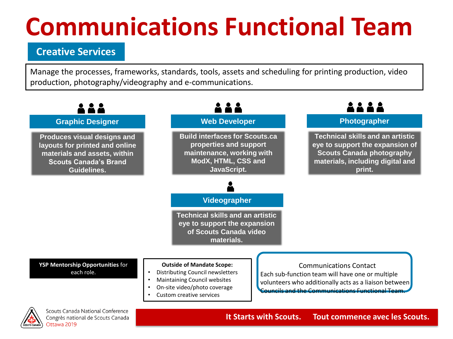### **Creative Services**

Manage the processes, frameworks, standards, tools, assets and scheduling for printing production, video production, photography/videography and e-communications.

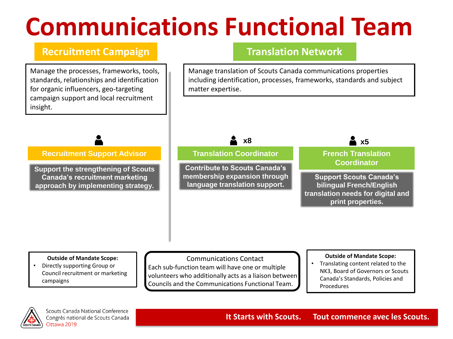### **Recruitment Campaign**

Manage the processes, frameworks, tools, standards, relationships and identification for organic influencers, geo-targeting campaign support and local recruitment insight.

### **Translation Network**

Manage translation of Scouts Canada communications properties including identification, processes, frameworks, standards and subject matter expertise.

#### **Recruitment Support Advisor**

**Support the strengthening of Scouts Canada's recruitment marketing approach by implementing strategy.**



#### **Outside of Mandate Scope:**

• Directly supporting Group or Council recruitment or marketing campaigns

Communications Contact Each sub-function team will have one or multiple volunteers who additionally acts as a liaison between Councils and the Communications Functional Team.

#### **Outside of Mandate Scope:**

**print properties.**

• Translating content related to the NK3, Board of Governors or Scouts Canada's Standards, Policies and Procedures

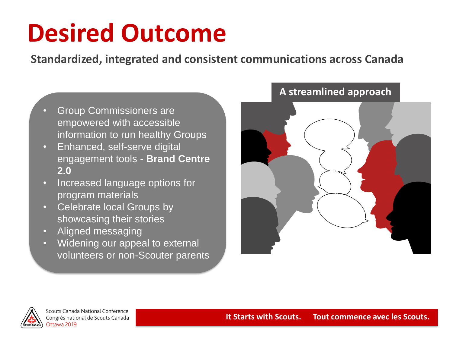# **Desired Outcome**

**Standardized, integrated and consistent communications across Canada**

- Group Commissioners are empowered with accessible information to run healthy Groups
- Enhanced, self-serve digital engagement tools - **Brand Centre 2.0**
- Increased language options for program materials
- Celebrate local Groups by showcasing their stories
- Aligned messaging
- Widening our appeal to external volunteers or non-Scouter parents



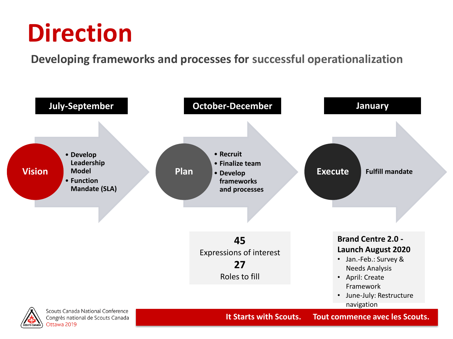# **Direction**

**Developing frameworks and processes for successful operationalization**



Congrès national de Scouts Canada Ottawa 2019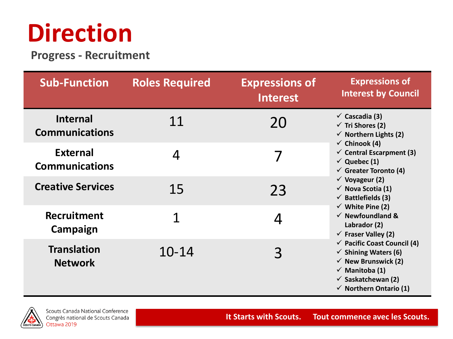# **Direction**

**Progress - Recruitment**

| <b>Sub-Function</b>                      | <b>Roles Required</b> | <b>Expressions of</b><br><b>Interest</b> | <b>Expressions of</b><br><b>Interest by Council</b>                                                                                                                                                                                                                                                                                                                                                                                                                                                                                                                                                                                                            |
|------------------------------------------|-----------------------|------------------------------------------|----------------------------------------------------------------------------------------------------------------------------------------------------------------------------------------------------------------------------------------------------------------------------------------------------------------------------------------------------------------------------------------------------------------------------------------------------------------------------------------------------------------------------------------------------------------------------------------------------------------------------------------------------------------|
| <b>Internal</b><br><b>Communications</b> | 11                    | 20                                       | $\checkmark$ Cascadia (3)<br>$\checkmark$ Tri Shores (2)<br>$\checkmark$ Northern Lights (2)<br>$\checkmark$ Chinook (4)<br>$\checkmark$ Central Escarpment (3)<br>$\checkmark$ Quebec (1)<br>$\checkmark$ Greater Toronto (4)<br>$\checkmark$ Voyageur (2)<br>$\checkmark$ Nova Scotia (1)<br>$\checkmark$ Battlefields (3)<br>$\checkmark$ White Pine (2)<br>$\checkmark$ Newfoundland &<br>Labrador (2)<br>$\checkmark$ Fraser Valley (2)<br>$\checkmark$ Pacific Coast Council (4)<br>$\checkmark$ Shining Waters (6)<br>$\checkmark$ New Brunswick (2)<br>$\checkmark$ Manitoba (1)<br>$\checkmark$ Saskatchewan (2)<br>$\checkmark$ Northern Ontario (1) |
| <b>External</b><br><b>Communications</b> | 4                     |                                          |                                                                                                                                                                                                                                                                                                                                                                                                                                                                                                                                                                                                                                                                |
| <b>Creative Services</b>                 | 15                    | 23                                       |                                                                                                                                                                                                                                                                                                                                                                                                                                                                                                                                                                                                                                                                |
| <b>Recruitment</b><br>Campaign           | 1                     |                                          |                                                                                                                                                                                                                                                                                                                                                                                                                                                                                                                                                                                                                                                                |
| <b>Translation</b><br><b>Network</b>     | $10 - 14$             | 3                                        |                                                                                                                                                                                                                                                                                                                                                                                                                                                                                                                                                                                                                                                                |